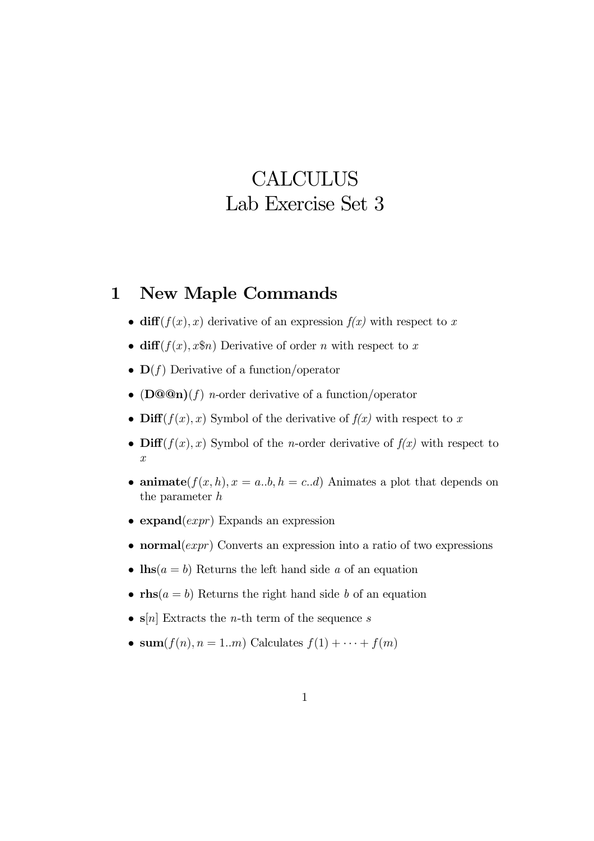## **CALCULUS** Lab Exercise Set 3

## 1 New Maple Commands

- diff( $f(x)$ , x) derivative of an expression  $f(x)$  with respect to x
- diff $(f(x), x\$ n Derivative of order n with respect to x
- $\mathbf{D}(f)$  Derivative of a function/operator
- ( $\mathbf{D@Qn}(f)$  *n*-order derivative of a function/operator
- Diff( $f(x)$ , x) Symbol of the derivative of  $f(x)$  with respect to x
- Diff( $f(x)$ , x) Symbol of the *n*-order derivative of  $f(x)$  with respect to  $\hat{x}$
- animate $(f(x, h), x = a,b, h = c.d)$  Animates a plot that depends on the parameter h
- expand $(exp)$  Expands an expression
- normal $(exp)$  Converts an expression into a ratio of two expressions
- $\ln s(a = b)$  Returns the left hand side a of an equation
- rhs $(a = b)$  Returns the right hand side b of an equation
- $\mathbf{s}[n]$  Extracts the *n*-th term of the sequence *s*
- sum $(f(n), n = 1..m)$  Calculates  $f(1) + \cdots + f(m)$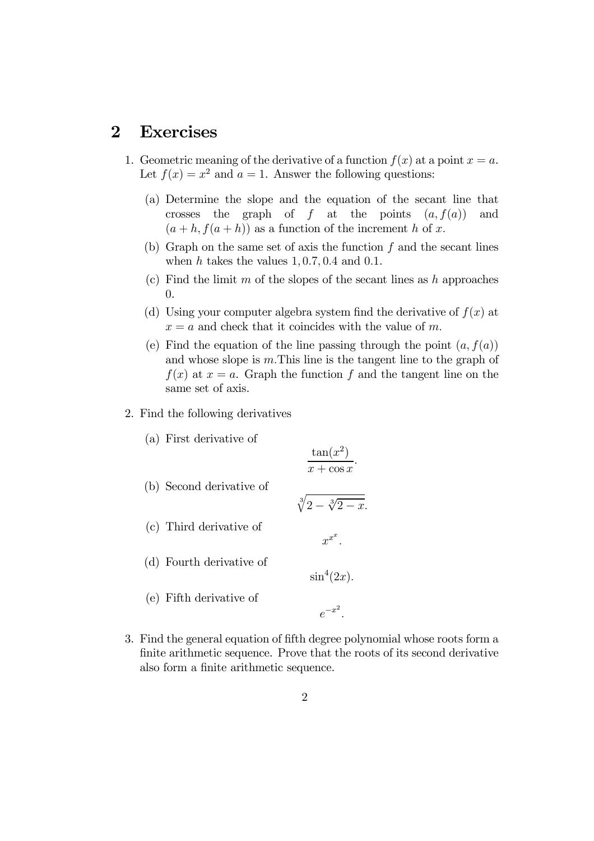## 2 Exercises

- 1. Geometric meaning of the derivative of a function  $f(x)$  at a point  $x = a$ . Let  $f(x) = x^2$  and  $a = 1$ . Answer the following questions:
	- (a) Determine the slope and the equation of the secant line that crosses the graph of f at the points  $(a, f(a))$  and  $(a + h, f(a + h))$  as a function of the increment h of x.
	- (b) Graph on the same set of axis the function  $f$  and the secant lines when h takes the values  $1, 0.7, 0.4$  and  $0.1$ .
	- (c) Find the limit m of the slopes of the secant lines as h approaches 0.
	- (d) Using your computer algebra system find the derivative of  $f(x)$  at  $x = a$  and check that it coincides with the value of m.
	- (e) Find the equation of the line passing through the point  $(a, f(a))$ and whose slope is m.This line is the tangent line to the graph of  $f(x)$  at  $x = a$ . Graph the function f and the tangent line on the same set of axis.
- 2. Find the following derivatives
	- (a) First derivative of

 $\tan(x^2)$  $x + \cos x$ .

- (b) Second derivative of
- (c) Third derivative of

(d) Fourth derivative of

(e) Fifth derivative of

 $\sqrt[3]{2 - \sqrt[3]{2 - x}}$ .  $x^{x^x}.$ 

 $\sin^4(2x)$ .

 $e^{-x^2}$ .

3. Find the general equation of fifth degree polynomial whose roots form a finite arithmetic sequence. Prove that the roots of its second derivative also form a finite arithmetic sequence.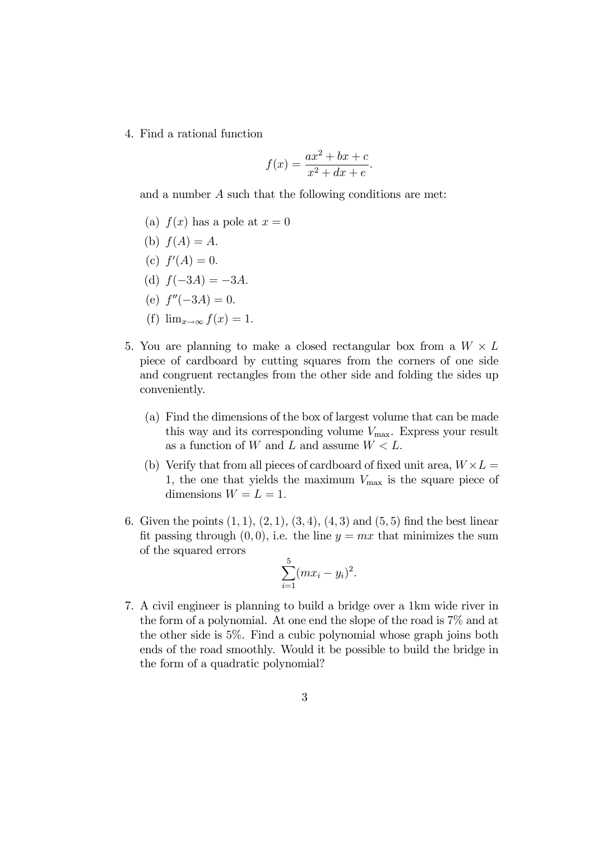4. Find a rational function

$$
f(x) = \frac{ax^2 + bx + c}{x^2 + dx + e}.
$$

and a number A such that the following conditions are met:

- (a)  $f(x)$  has a pole at  $x = 0$
- (b)  $f(A) = A$ .
- (c)  $f'(A) = 0$ .
- (d)  $f(-3A) = -3A$ .
- (e)  $f''(-3A)=0.$
- (f)  $\lim_{x\to\infty} f(x)=1$ .
- 5. You are planning to make a closed rectangular box from a  $W \times L$ piece of cardboard by cutting squares from the corners of one side and congruent rectangles from the other side and folding the sides up conveniently.
	- (a) Find the dimensions of the box of largest volume that can be made this way and its corresponding volume  $V_{\text{max}}$ . Express your result as a function of W and L and assume  $W < L$ .
	- (b) Verify that from all pieces of cardboard of fixed unit area,  $W \times L =$ 1, the one that yields the maximum  $V_{\text{max}}$  is the square piece of dimensions  $W = L = 1$ .
- 6. Given the points  $(1, 1), (2, 1), (3, 4), (4, 3)$  and  $(5, 5)$  find the best linear fit passing through  $(0, 0)$ , i.e. the line  $y = mx$  that minimizes the sum of the squared errors

$$
\sum_{i=1}^{5} (mx_i - y_i)^2.
$$

7. A civil engineer is planning to build a bridge over a 1km wide river in the form of a polynomial. At one end the slope of the road is 7% and at the other side is 5%. Find a cubic polynomial whose graph joins both ends of the road smoothly. Would it be possible to build the bridge in the form of a quadratic polynomial?